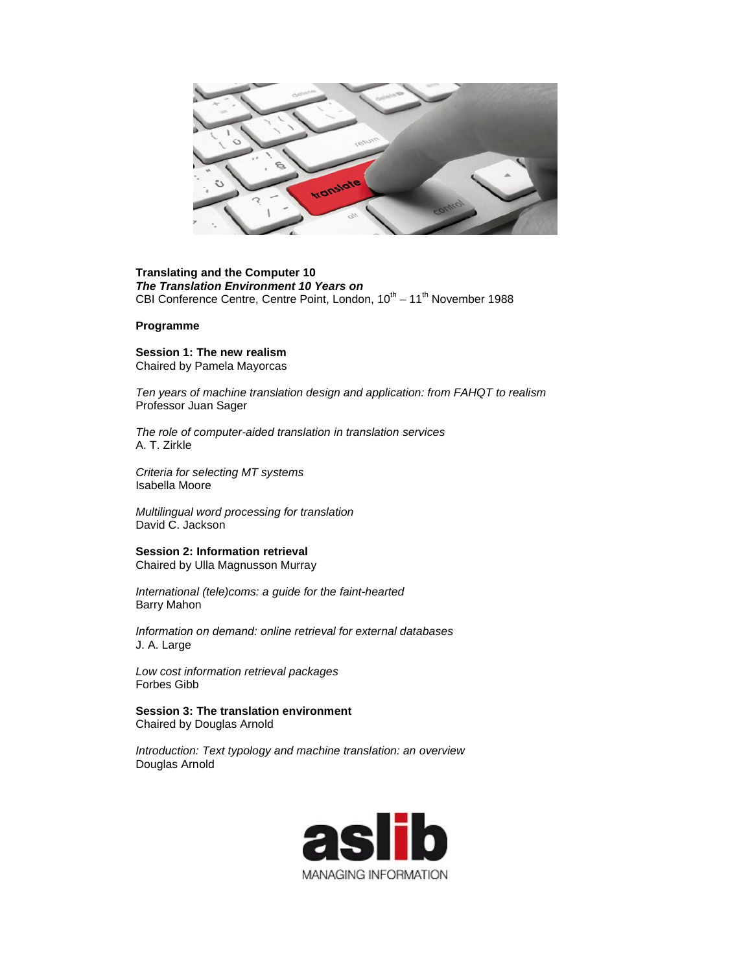

## **Translating and the Computer 10** *The Translation Environment 10 Years on* CBI Conference Centre, Centre Point, London,  $10^{th} - 11^{th}$  November 1988

## **Programme**

## **Session 1: The new realism** Chaired by Pamela Mayorcas

*Ten years of machine translation design and application: from FAHQT to realism*  Professor Juan Sager

*The role of computer-aided translation in translation services*  A. T. Zirkle

*Criteria for selecting MT systems*  Isabella Moore

*Multilingual word processing for translation*  David C. Jackson

## **Session 2: Information retrieval**

Chaired by Ulla Magnusson Murray

*International (tele)coms: a guide for the faint-hearted*  Barry Mahon

*Information on demand: online retrieval for external databases*  J. A. Large

*Low cost information retrieval packages* Forbes Gibb

**Session 3: The translation environment** Chaired by Douglas Arnold

*Introduction: Text typology and machine translation: an overview*  Douglas Arnold